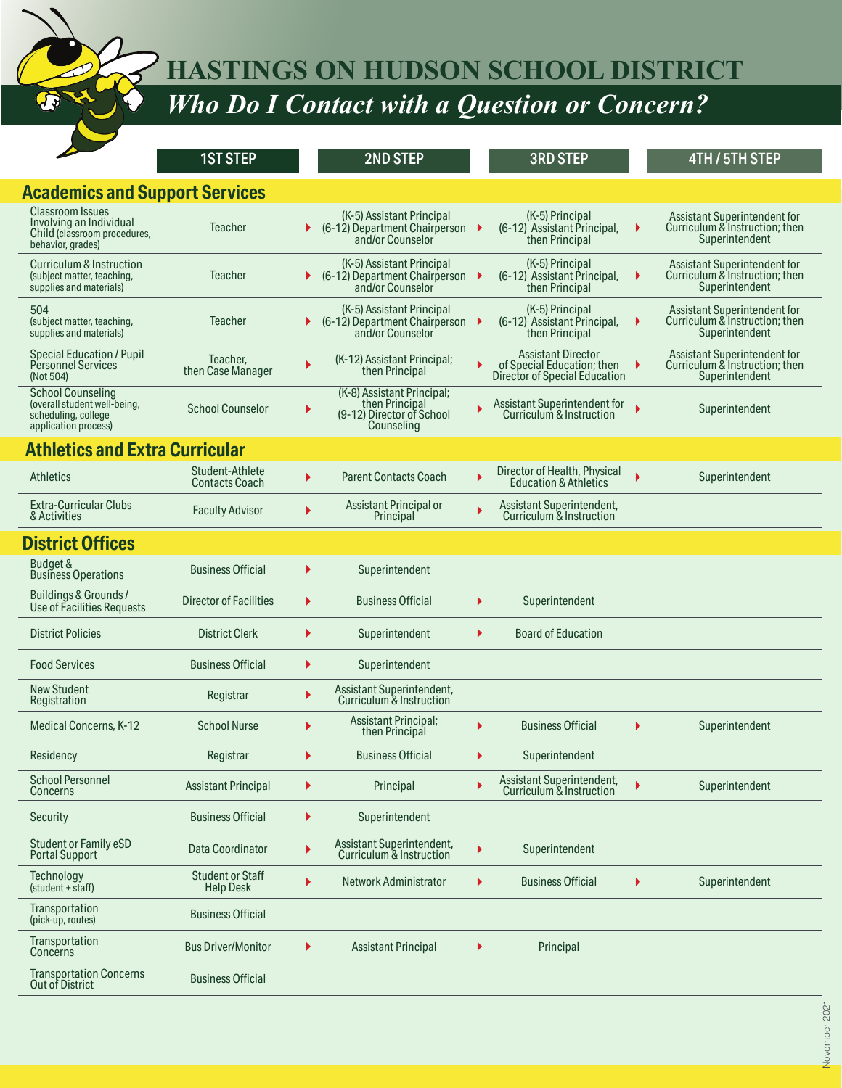**HASTINGS ON HUDSON SCHOOL DISTRICT**

*Who Do I Contact with a Question or Concern?*

|                                                                                                         | <b>1ST STEP</b>                             |    | 2ND STEP                                                                                |    | <b>3RD STEP</b>                                                                          |   | <b>4TH / 5TH STEP</b>                                                                   |
|---------------------------------------------------------------------------------------------------------|---------------------------------------------|----|-----------------------------------------------------------------------------------------|----|------------------------------------------------------------------------------------------|---|-----------------------------------------------------------------------------------------|
| <b>Academics and Support Services</b>                                                                   |                                             |    |                                                                                         |    |                                                                                          |   |                                                                                         |
| <b>Classroom Issues</b><br>Involving an Individual<br>Child (classroom procedures,<br>behavior, grades) | <b>Teacher</b>                              |    | (K-5) Assistant Principal<br>(6-12) Department Chairperson<br>and/or Counselor          |    | (K-5) Principal<br>(6-12) Assistant Principal,<br>then Principal                         | ▶ | <b>Assistant Superintendent for</b><br>Curriculum & Instruction; then<br>Superintendent |
| Curriculum & Instruction<br>(subject matter, teaching,<br>supplies and materials)                       | <b>Teacher</b>                              |    | (K-5) Assistant Principal<br>(6-12) Department Chairperson<br>and/or Counselor          |    | (K-5) Principal<br>(6-12) Assistant Principal,<br>then Principal                         | ٠ | Assistant Superintendent for<br>Curriculum & Instruction; then<br>Superintendent        |
| 504<br>(subject matter, teaching,<br>supplies and materials)                                            | <b>Teacher</b>                              |    | (K-5) Assistant Principal<br>(6-12) Department Chairperson<br>and/or Counselor          |    | (K-5) Principal<br>(6-12) Assistant Principal.<br>then Principal                         | Þ | Assistant Superintendent for<br>Curriculum & Instruction; then<br>Superintendent        |
| <b>Special Education / Pupil</b><br>Personnel Services<br>(Not 504)                                     | Teacher,<br>then Case Manager               |    | (K-12) Assistant Principal;<br>then Principal                                           |    | <b>Assistant Director</b><br>of Special Education; then<br>Director of Special Education | ٠ | Assistant Superintendent for<br>Curriculum & Instruction; then<br>Superintendent        |
| <b>School Counseling</b><br>(overall student well-being,<br>scheduling, college<br>application process) | <b>School Counselor</b>                     |    | (K-8) Assistant Principal;<br>then Principal<br>(9-12) Director of School<br>Counseling |    | Assistant Superintendent for<br>Curriculum & Instruction                                 | ь | Superintendent                                                                          |
| <b>Athletics and Extra Curricular</b>                                                                   |                                             |    |                                                                                         |    |                                                                                          |   |                                                                                         |
| <b>Athletics</b>                                                                                        | Student-Athlete<br>Contacts Coach           | Ы  | <b>Parent Contacts Coach</b>                                                            |    | Director of Health, Physical<br><b>Education &amp; Athletics</b>                         | ь | Superintendent                                                                          |
| <b>Extra-Curricular Clubs</b><br>& Activities                                                           | <b>Faculty Advisor</b>                      | Ы  | Assistant Principal or<br>Principal                                                     |    | Assistant Superintendent,<br>Curriculum & Instruction                                    |   |                                                                                         |
| <b>District Offices</b>                                                                                 |                                             |    |                                                                                         |    |                                                                                          |   |                                                                                         |
| Budget &<br><b>Business Operations</b>                                                                  | <b>Business Official</b>                    | Þ. | Superintendent                                                                          |    |                                                                                          |   |                                                                                         |
| Buildings & Grounds /<br>Use of Facilities Requests                                                     | <b>Director of Facilities</b>               | ▶  | <b>Business Official</b>                                                                | ь  | Superintendent                                                                           |   |                                                                                         |
| <b>District Policies</b>                                                                                | <b>District Clerk</b>                       | Þ. | Superintendent                                                                          | ь  | <b>Board of Education</b>                                                                |   |                                                                                         |
| <b>Food Services</b>                                                                                    | <b>Business Official</b>                    | Þ. | Superintendent                                                                          |    |                                                                                          |   |                                                                                         |
| <b>New Student</b><br>Registration                                                                      | Registrar                                   | ▶  | Assistant Superintendent,<br>Curriculum & Instruction                                   |    |                                                                                          |   |                                                                                         |
| Medical Concerns, K-12                                                                                  | <b>School Nurse</b>                         | ▶  | <b>Assistant Principal;</b><br>then Principal                                           |    | <b>Business Official</b>                                                                 | ١ | Superintendent                                                                          |
| Residency                                                                                               | Registrar                                   |    | <b>Business Official</b>                                                                |    | Superintendent                                                                           |   |                                                                                         |
| School Personnel<br>Concerns                                                                            | <b>Assistant Principal</b>                  | ▶  | Principal                                                                               |    | Assistant Superintendent,<br>Curriculum & Instruction                                    |   | Superintendent                                                                          |
| Security                                                                                                | <b>Business Official</b>                    | ▶  | Superintendent                                                                          |    |                                                                                          |   |                                                                                         |
| Student or Family eSD<br><b>Portal Support</b>                                                          | Data Coordinator                            | ▶  | Assistant Superintendent,<br>Curriculum & Instruction                                   | ▶  | Superintendent                                                                           |   |                                                                                         |
| Technology<br>(student + staff)                                                                         | <b>Student or Staff</b><br><b>Help Desk</b> | ▶  | Network Administrator                                                                   | Þ. | <b>Business Official</b>                                                                 |   | Superintendent                                                                          |
| Transportation<br>(pick-up, routes)                                                                     | <b>Business Official</b>                    |    |                                                                                         |    |                                                                                          |   |                                                                                         |
| <b>Transportation</b><br>Concerns                                                                       | <b>Bus Driver/Monitor</b>                   | ▶  | <b>Assistant Principal</b>                                                              | ▶  | Principal                                                                                |   |                                                                                         |
| <b>Transportation Concerns</b><br>Out of District                                                       | <b>Business Official</b>                    |    |                                                                                         |    |                                                                                          |   |                                                                                         |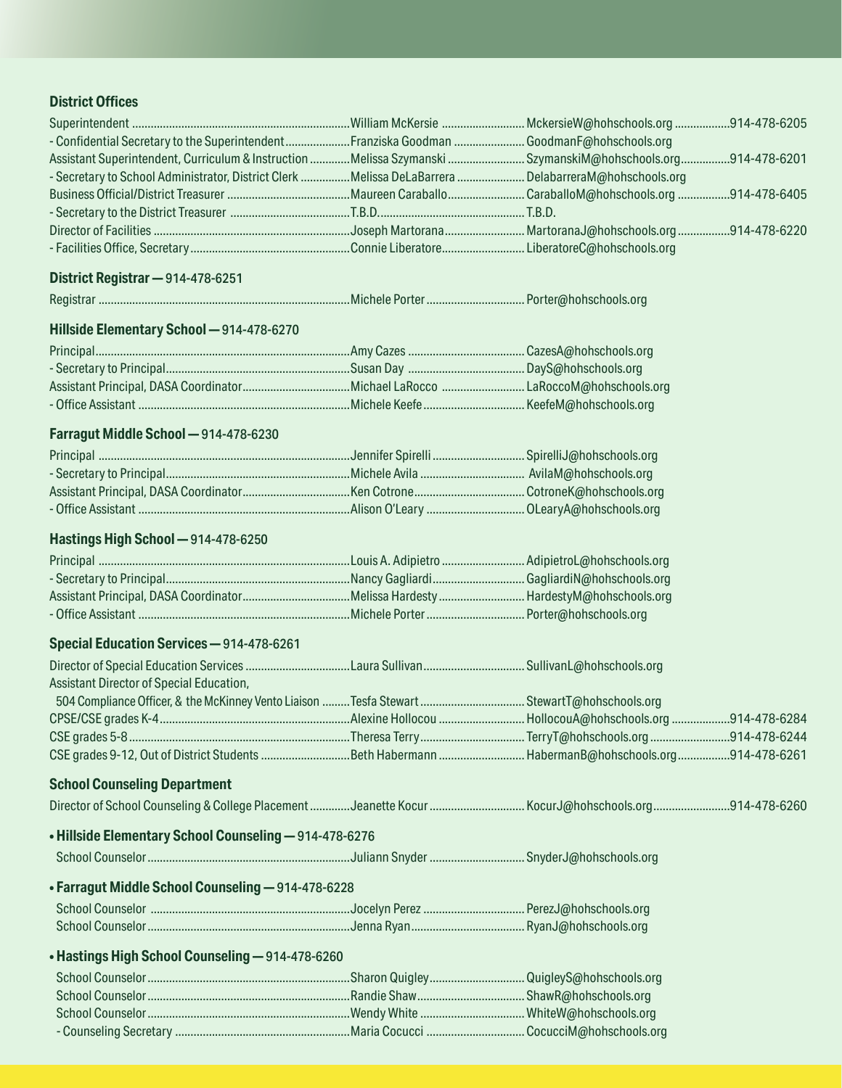## **District Offices**

| - Confidential Secretary to the SuperintendentFranziska Goodman  GoodmanF@hohschools.org<br>Assistant Superintendent, Curriculum & Instruction Melissa Szymanski  SzymanskiM@hohschools.org 914-478-6201 |  |  |
|----------------------------------------------------------------------------------------------------------------------------------------------------------------------------------------------------------|--|--|
| - Secretary to School Administrator, District Clerk Melissa DeLaBarrera  DelabarreraM@hohschools.org                                                                                                     |  |  |
|                                                                                                                                                                                                          |  |  |
|                                                                                                                                                                                                          |  |  |
|                                                                                                                                                                                                          |  |  |
|                                                                                                                                                                                                          |  |  |
| District Registrar - 914-478-6251                                                                                                                                                                        |  |  |
|                                                                                                                                                                                                          |  |  |
| Hillside Elementary School-914-478-6270                                                                                                                                                                  |  |  |
|                                                                                                                                                                                                          |  |  |
| - Secretary to Principal……………………………………………………Susan Day …………………………………… DayS@hohschools.org                                                                                                                 |  |  |
|                                                                                                                                                                                                          |  |  |
|                                                                                                                                                                                                          |  |  |
| Farragut Middle School - 914-478-6230                                                                                                                                                                    |  |  |
|                                                                                                                                                                                                          |  |  |
|                                                                                                                                                                                                          |  |  |
|                                                                                                                                                                                                          |  |  |
| - Office Assistant ……………………………………………………………………………Alison O'Leary ………………………………… OLearyA@hohschools.org                                                                                                      |  |  |
| Hastings High School - 914-478-6250                                                                                                                                                                      |  |  |
|                                                                                                                                                                                                          |  |  |
|                                                                                                                                                                                                          |  |  |
|                                                                                                                                                                                                          |  |  |
|                                                                                                                                                                                                          |  |  |
| Special Education Services - 914-478-6261                                                                                                                                                                |  |  |
|                                                                                                                                                                                                          |  |  |
| Assistant Director of Special Education,                                                                                                                                                                 |  |  |
|                                                                                                                                                                                                          |  |  |
|                                                                                                                                                                                                          |  |  |
|                                                                                                                                                                                                          |  |  |
|                                                                                                                                                                                                          |  |  |
| <b>School Counseling Department</b>                                                                                                                                                                      |  |  |
|                                                                                                                                                                                                          |  |  |
| . Hillside Elementary School Counseling - 914-478-6276                                                                                                                                                   |  |  |
|                                                                                                                                                                                                          |  |  |
| • Farragut Middle School Counseling - 914-478-6228                                                                                                                                                       |  |  |
|                                                                                                                                                                                                          |  |  |
|                                                                                                                                                                                                          |  |  |
| • Hastings High School Counseling - 914-478-6260                                                                                                                                                         |  |  |
|                                                                                                                                                                                                          |  |  |
|                                                                                                                                                                                                          |  |  |
|                                                                                                                                                                                                          |  |  |
|                                                                                                                                                                                                          |  |  |